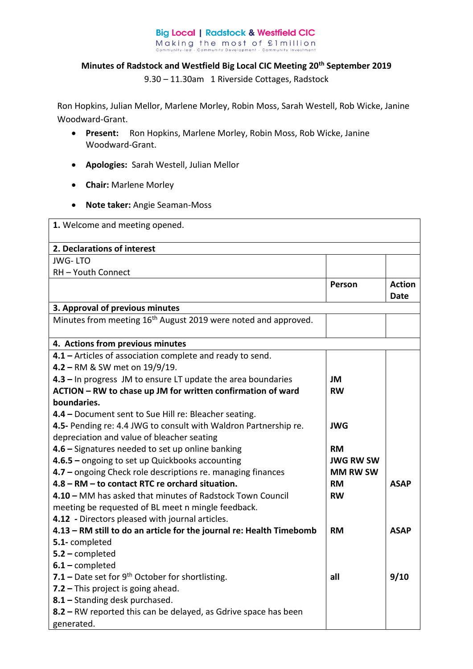## **Big Local | Radstock & Westfield CIC** Making the most of £1 million<br>
community-led - Community Development - Community Investment Com

## **Minutes of Radstock and Westfield Big Local CIC Meeting 20th September 2019**

9.30 – 11.30am 1 Riverside Cottages, Radstock

Ron Hopkins, Julian Mellor, Marlene Morley, Robin Moss, Sarah Westell, Rob Wicke, Janine Woodward-Grant.

- **Present:** Ron Hopkins, Marlene Morley, Robin Moss, Rob Wicke, Janine Woodward-Grant.
- **Apologies:** Sarah Westell, Julian Mellor
- **Chair:** Marlene Morley
- **Note taker:** Angie Seaman-Moss

| 1. Welcome and meeting opened.                                             |                  |               |  |  |
|----------------------------------------------------------------------------|------------------|---------------|--|--|
| 2. Declarations of interest                                                |                  |               |  |  |
| <b>JWG-LTO</b>                                                             |                  |               |  |  |
| RH-Youth Connect                                                           |                  |               |  |  |
|                                                                            | Person           | <b>Action</b> |  |  |
|                                                                            |                  | Date          |  |  |
| 3. Approval of previous minutes                                            |                  |               |  |  |
| Minutes from meeting 16 <sup>th</sup> August 2019 were noted and approved. |                  |               |  |  |
| 4. Actions from previous minutes                                           |                  |               |  |  |
| 4.1 - Articles of association complete and ready to send.                  |                  |               |  |  |
| 4.2 - RM & SW met on 19/9/19.                                              |                  |               |  |  |
| 4.3 - In progress JM to ensure LT update the area boundaries               | JМ               |               |  |  |
| ACTION - RW to chase up JM for written confirmation of ward                | <b>RW</b>        |               |  |  |
| boundaries.                                                                |                  |               |  |  |
| 4.4 - Document sent to Sue Hill re: Bleacher seating.                      |                  |               |  |  |
| 4.5- Pending re: 4.4 JWG to consult with Waldron Partnership re.           | <b>JWG</b>       |               |  |  |
| depreciation and value of bleacher seating                                 |                  |               |  |  |
| 4.6 - Signatures needed to set up online banking                           | <b>RM</b>        |               |  |  |
| 4.6.5 - ongoing to set up Quickbooks accounting                            | <b>JWG RW SW</b> |               |  |  |
| 4.7 - ongoing Check role descriptions re. managing finances                | <b>MM RW SW</b>  |               |  |  |
| 4.8 - RM - to contact RTC re orchard situation.                            | <b>RM</b>        | <b>ASAP</b>   |  |  |
| 4.10 - MM has asked that minutes of Radstock Town Council                  | <b>RW</b>        |               |  |  |
| meeting be requested of BL meet n mingle feedback.                         |                  |               |  |  |
| 4.12 - Directors pleased with journal articles.                            |                  |               |  |  |
| 4.13 - RM still to do an article for the journal re: Health Timebomb       | <b>RM</b>        | <b>ASAP</b>   |  |  |
| 5.1-completed                                                              |                  |               |  |  |
| $5.2$ – completed                                                          |                  |               |  |  |
| $6.1$ – completed                                                          |                  |               |  |  |
| 7.1 – Date set for $9^{th}$ October for shortlisting.                      | all              | 9/10          |  |  |
| 7.2 - This project is going ahead.                                         |                  |               |  |  |
| 8.1 - Standing desk purchased.                                             |                  |               |  |  |
| 8.2 - RW reported this can be delayed, as Gdrive space has been            |                  |               |  |  |
| generated.                                                                 |                  |               |  |  |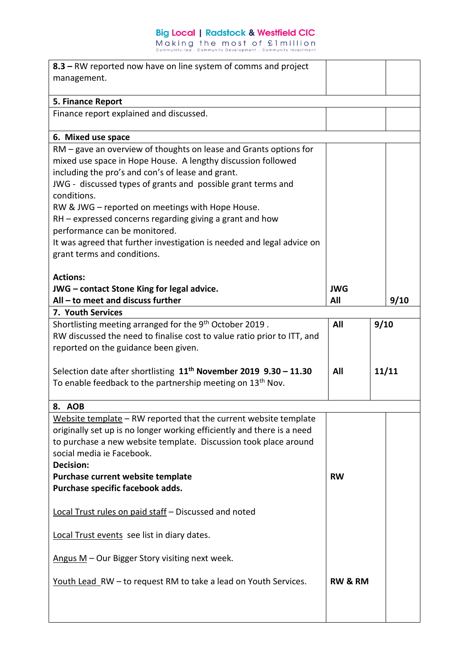## **Big Local | Radstock & Westfield CIC**

Making the most of filmillion<br>community-led - Community Development - Community Investment

| 8.3 – RW reported now have on line system of comms and project                |                    |       |      |
|-------------------------------------------------------------------------------|--------------------|-------|------|
| management.                                                                   |                    |       |      |
|                                                                               |                    |       |      |
| 5. Finance Report                                                             |                    |       |      |
| Finance report explained and discussed.                                       |                    |       |      |
|                                                                               |                    |       |      |
| 6. Mixed use space                                                            |                    |       |      |
| RM – gave an overview of thoughts on lease and Grants options for             |                    |       |      |
| mixed use space in Hope House. A lengthy discussion followed                  |                    |       |      |
| including the pro's and con's of lease and grant.                             |                    |       |      |
| JWG - discussed types of grants and possible grant terms and                  |                    |       |      |
| conditions.                                                                   |                    |       |      |
| RW & JWG - reported on meetings with Hope House.                              |                    |       |      |
| $RH$ – expressed concerns regarding giving a grant and how                    |                    |       |      |
| performance can be monitored.                                                 |                    |       |      |
| It was agreed that further investigation is needed and legal advice on        |                    |       |      |
| grant terms and conditions.                                                   |                    |       |      |
|                                                                               |                    |       |      |
| <b>Actions:</b>                                                               |                    |       |      |
| JWG - contact Stone King for legal advice.                                    | <b>JWG</b>         |       |      |
| All - to meet and discuss further                                             | All                |       | 9/10 |
| 7. Youth Services                                                             |                    |       |      |
|                                                                               |                    |       |      |
| Shortlisting meeting arranged for the 9 <sup>th</sup> October 2019.           | All                | 9/10  |      |
| RW discussed the need to finalise cost to value ratio prior to ITT, and       |                    |       |      |
| reported on the guidance been given.                                          |                    |       |      |
|                                                                               | All                |       |      |
| Selection date after shortlisting 11 <sup>th</sup> November 2019 9.30 - 11.30 |                    | 11/11 |      |
| To enable feedback to the partnership meeting on 13 <sup>th</sup> Nov.        |                    |       |      |
|                                                                               |                    |       |      |
| 8. AOB                                                                        |                    |       |      |
| Website template - RW reported that the current website template              |                    |       |      |
| originally set up is no longer working efficiently and there is a need        |                    |       |      |
| to purchase a new website template. Discussion took place around              |                    |       |      |
| social media je Facebook.                                                     |                    |       |      |
| <b>Decision:</b>                                                              |                    |       |      |
| Purchase current website template                                             | <b>RW</b>          |       |      |
| Purchase specific facebook adds.                                              |                    |       |      |
|                                                                               |                    |       |      |
| Local Trust rules on paid staff - Discussed and noted                         |                    |       |      |
|                                                                               |                    |       |      |
| Local Trust events see list in diary dates.                                   |                    |       |      |
|                                                                               |                    |       |      |
| Angus $M$ – Our Bigger Story visiting next week.                              |                    |       |      |
|                                                                               |                    |       |      |
| Youth Lead RW - to request RM to take a lead on Youth Services.               | <b>RW &amp; RM</b> |       |      |
|                                                                               |                    |       |      |
|                                                                               |                    |       |      |
|                                                                               |                    |       |      |